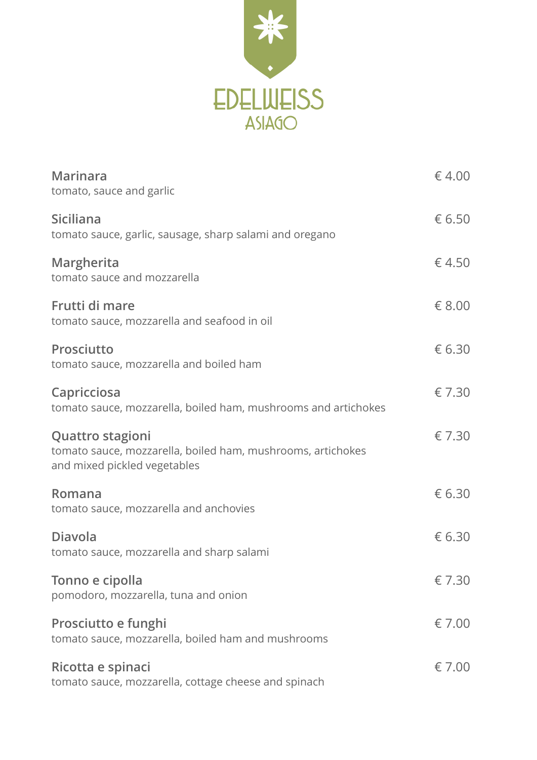

| <b>Marinara</b><br>tomato, sauce and garlic                                                                            | $\epsilon$ 4.00 |
|------------------------------------------------------------------------------------------------------------------------|-----------------|
| <b>Siciliana</b><br>tomato sauce, garlic, sausage, sharp salami and oregano                                            | € 6.50          |
| Margherita<br>tomato sauce and mozzarella                                                                              | $\epsilon$ 4.50 |
| Frutti di mare<br>tomato sauce, mozzarella and seafood in oil                                                          | € 8.00          |
| Prosciutto<br>tomato sauce, mozzarella and boiled ham                                                                  | € 6.30          |
| Capricciosa<br>tomato sauce, mozzarella, boiled ham, mushrooms and artichokes                                          | € 7.30          |
| <b>Quattro stagioni</b><br>tomato sauce, mozzarella, boiled ham, mushrooms, artichokes<br>and mixed pickled vegetables | € 7.30          |
| Romana<br>tomato sauce, mozzarella and anchovies                                                                       | € 6.30          |
| <b>Diavola</b><br>tomato sauce, mozzarella and sharp salami                                                            | € 6.30          |
| Tonno e cipolla<br>pomodoro, mozzarella, tuna and onion                                                                | € 7.30          |
| Prosciutto e funghi<br>tomato sauce, mozzarella, boiled ham and mushrooms                                              | € 7.00          |
| Ricotta e spinaci<br>tomato sauce, mozzarella, cottage cheese and spinach                                              | € 7.00          |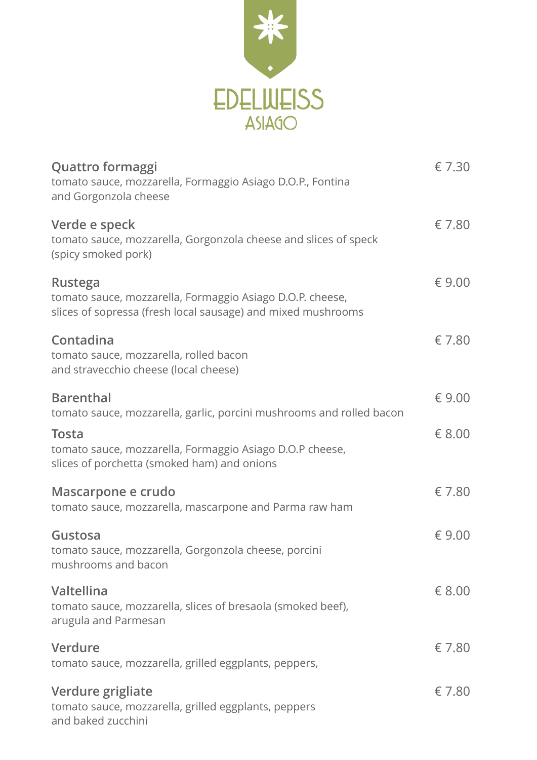

| <b>Quattro formaggi</b><br>tomato sauce, mozzarella, Formaggio Asiago D.O.P., Fontina<br>and Gorgonzola cheese                              | € 7.30          |
|---------------------------------------------------------------------------------------------------------------------------------------------|-----------------|
| Verde e speck<br>tomato sauce, mozzarella, Gorgonzola cheese and slices of speck<br>(spicy smoked pork)                                     | € 7.80          |
| <b>Rustega</b><br>tomato sauce, mozzarella, Formaggio Asiago D.O.P. cheese,<br>slices of sopressa (fresh local sausage) and mixed mushrooms | € 9.00          |
| Contadina<br>tomato sauce, mozzarella, rolled bacon<br>and stravecchio cheese (local cheese)                                                | € 7.80          |
| <b>Barenthal</b><br>tomato sauce, mozzarella, garlic, porcini mushrooms and rolled bacon                                                    | € 9.00          |
| <b>Tosta</b><br>tomato sauce, mozzarella, Formaggio Asiago D.O.P cheese,<br>slices of porchetta (smoked ham) and onions                     | € 8.00          |
| Mascarpone e crudo<br>tomato sauce, mozzarella, mascarpone and Parma raw ham                                                                | € 7.80          |
| Gustosa<br>tomato sauce, mozzarella, Gorgonzola cheese, porcini<br>mushrooms and bacon                                                      | € 9.00          |
| Valtellina<br>tomato sauce, mozzarella, slices of bresaola (smoked beef),<br>arugula and Parmesan                                           | $\epsilon$ 8.00 |
| Verdure<br>tomato sauce, mozzarella, grilled eggplants, peppers,                                                                            | € 7.80          |
| Verdure grigliate<br>tomato sauce, mozzarella, grilled eggplants, peppers<br>and baked zucchini                                             | € 7.80          |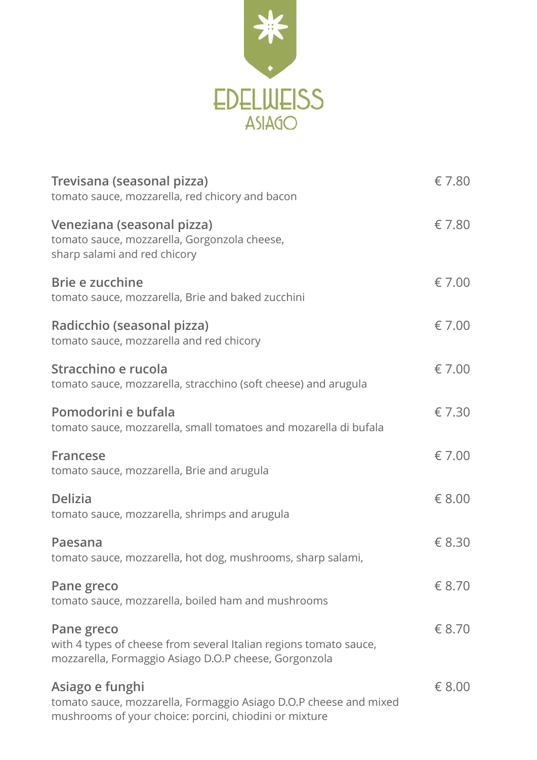

| Trevisana (seasonal pizza)<br>tomato sauce, mozzarella, red chicory and bacon                                                                  | € 7.80          |
|------------------------------------------------------------------------------------------------------------------------------------------------|-----------------|
| Veneziana (seasonal pizza)<br>tomato sauce, mozzarella, Gorgonzola cheese,<br>sharp salami and red chicory                                     | € 7.80          |
| Brie e zucchine<br>tomato sauce, mozzarella, Brie and baked zucchini                                                                           | $\epsilon$ 7.00 |
| Radicchio (seasonal pizza)<br>tomato sauce, mozzarella and red chicory                                                                         | $\epsilon$ 7.00 |
| Stracchino e rucola<br>tomato sauce, mozzarella, stracchino (soft cheese) and arugula                                                          | $\epsilon$ 7.00 |
| Pomodorini e bufala<br>tomato sauce, mozzarella, small tomatoes and mozarella di bufala                                                        | € 7.30          |
| <b>Francese</b><br>tomato sauce, mozzarella, Brie and arugula                                                                                  | $\epsilon$ 7.00 |
| <b>Delizia</b><br>tomato sauce, mozzarella, shrimps and arugula                                                                                | $\epsilon$ 8.00 |
| Paesana<br>tomato sauce, mozzarella, hot dog, mushrooms, sharp salami,                                                                         | € 8.30          |
| Pane greco<br>tomato sauce, mozzarella, boiled ham and mushrooms                                                                               | € 8.70          |
| Pane greco<br>with 4 types of cheese from several Italian regions tomato sauce,<br>mozzarella, Formaggio Asiago D.O.P cheese, Gorgonzola       | € 8.70          |
| Asiago e funghi<br>tomato sauce, mozzarella, Formaggio Asiago D.O.P cheese and mixed<br>mushrooms of your choice: porcini, chiodini or mixture | € 8.00          |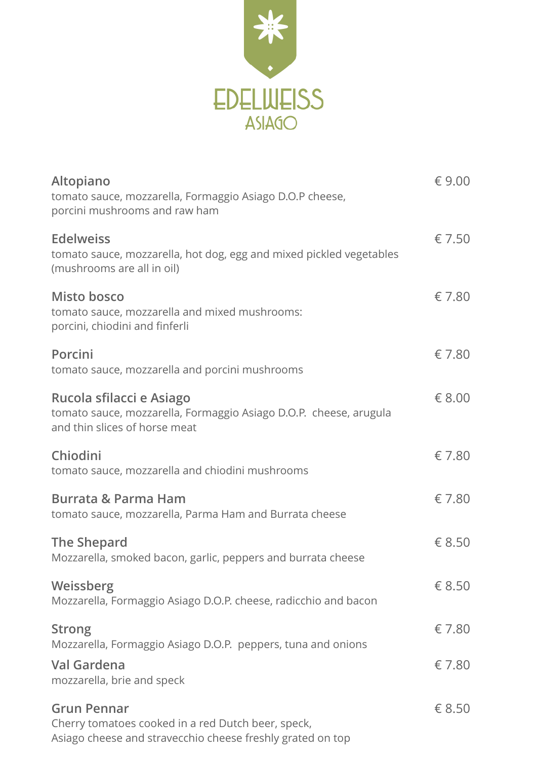

| Altopiano<br>tomato sauce, mozzarella, Formaggio Asiago D.O.P cheese,<br>porcini mushrooms and raw ham                                 | € 9.00 |
|----------------------------------------------------------------------------------------------------------------------------------------|--------|
| <b>Edelweiss</b><br>tomato sauce, mozzarella, hot dog, egg and mixed pickled vegetables<br>(mushrooms are all in oil)                  | € 7.50 |
| <b>Misto bosco</b><br>tomato sauce, mozzarella and mixed mushrooms:<br>porcini, chiodini and finferli                                  | € 7.80 |
| Porcini<br>tomato sauce, mozzarella and porcini mushrooms                                                                              | € 7.80 |
| Rucola sfilacci e Asiago<br>tomato sauce, mozzarella, Formaggio Asiago D.O.P. cheese, arugula<br>and thin slices of horse meat         | € 8.00 |
| Chiodini<br>tomato sauce, mozzarella and chiodini mushrooms                                                                            | € 7.80 |
| <b>Burrata &amp; Parma Ham</b><br>tomato sauce, mozzarella, Parma Ham and Burrata cheese                                               | € 7.80 |
| The Shepard<br>Mozzarella, smoked bacon, garlic, peppers and burrata cheese                                                            | € 8.50 |
| Weissberg<br>Mozzarella, Formaggio Asiago D.O.P. cheese, radicchio and bacon                                                           | € 8.50 |
| <b>Strong</b><br>Mozzarella, Formaggio Asiago D.O.P. peppers, tuna and onions                                                          | € 7.80 |
| Val Gardena<br>mozzarella, brie and speck                                                                                              | € 7.80 |
| <b>Grun Pennar</b><br>Cherry tomatoes cooked in a red Dutch beer, speck,<br>Asiago cheese and stravecchio cheese freshly grated on top | € 8.50 |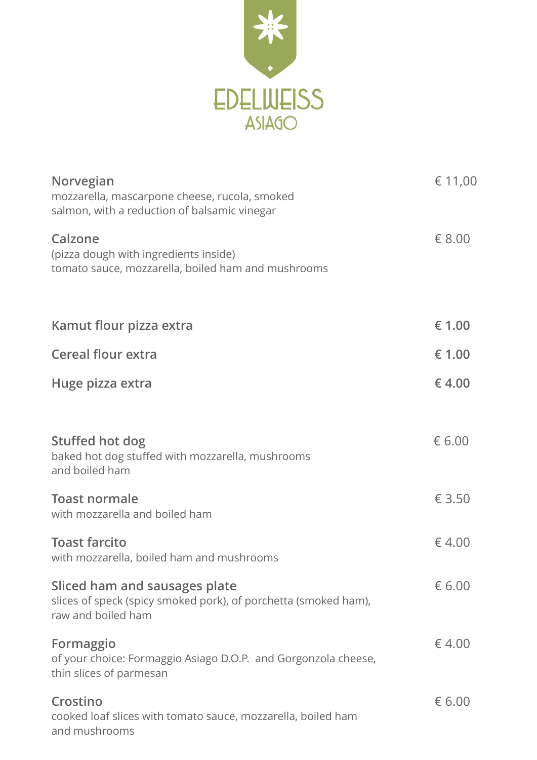

| Norvegian<br>mozzarella, mascarpone cheese, rucola, smoked<br>salmon, with a reduction of balsamic vinegar             | € 11,00 |
|------------------------------------------------------------------------------------------------------------------------|---------|
| Calzone<br>(pizza dough with ingredients inside)<br>tomato sauce, mozzarella, boiled ham and mushrooms                 | € 8.00  |
| Kamut flour pizza extra                                                                                                | € 1.00  |
| <b>Cereal flour extra</b>                                                                                              | € 1.00  |
| Huge pizza extra                                                                                                       | €4.00   |
| Stuffed hot dog<br>baked hot dog stuffed with mozzarella, mushrooms<br>and boiled ham                                  | € 6.00  |
| <b>Toast normale</b><br>with mozzarella and boiled ham                                                                 | € 3.50  |
| <b>Toast farcito</b><br>with mozzarella, boiled ham and mushrooms                                                      | €4.00   |
| Sliced ham and sausages plate<br>slices of speck (spicy smoked pork), of porchetta (smoked ham),<br>raw and boiled ham | € 6.00  |
| Formaggio<br>of your choice: Formaggio Asiago D.O.P. and Gorgonzola cheese,<br>thin slices of parmesan                 | €4.00   |
| Crostino<br>cooked loaf slices with tomato sauce, mozzarella, boiled ham<br>and mushrooms                              | € 6.00  |